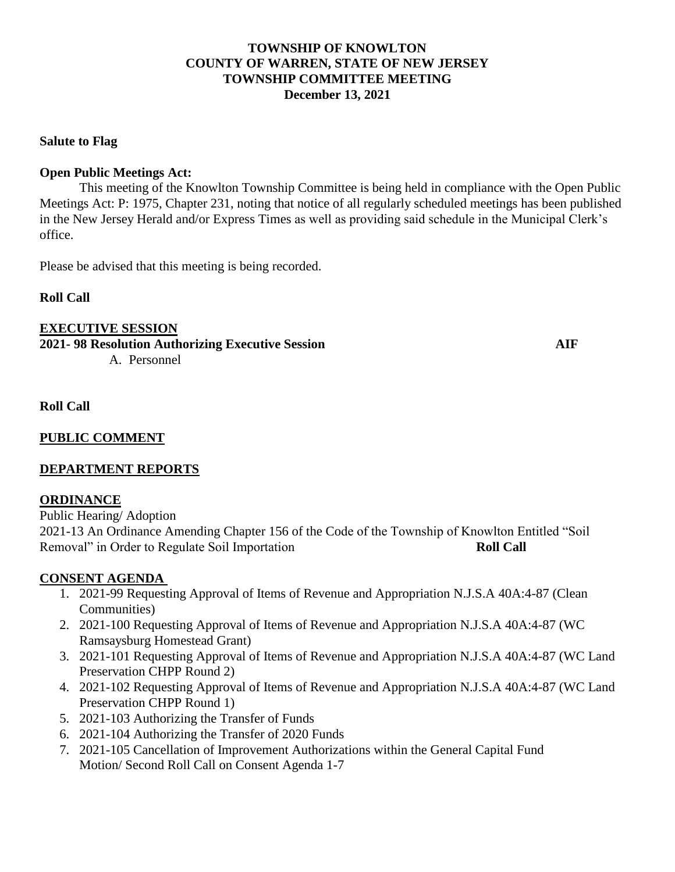## **TOWNSHIP OF KNOWLTON COUNTY OF WARREN, STATE OF NEW JERSEY TOWNSHIP COMMITTEE MEETING December 13, 2021**

#### **Salute to Flag**

#### **Open Public Meetings Act:**

This meeting of the Knowlton Township Committee is being held in compliance with the Open Public Meetings Act: P: 1975, Chapter 231, noting that notice of all regularly scheduled meetings has been published in the New Jersey Herald and/or Express Times as well as providing said schedule in the Municipal Clerk's office.

Please be advised that this meeting is being recorded.

**Roll Call**

**EXECUTIVE SESSION**

**2021- 98 Resolution Authorizing Executive Session AIF** A. Personnel

**Roll Call**

# **PUBLIC COMMENT**

## **DEPARTMENT REPORTS**

## **ORDINANCE**

Public Hearing/ Adoption 2021-13 An Ordinance Amending Chapter 156 of the Code of the Township of Knowlton Entitled "Soil Removal" in Order to Regulate Soil Importation **Roll Call** 

## **CONSENT AGENDA**

- 1. 2021-99 Requesting Approval of Items of Revenue and Appropriation N.J.S.A 40A:4-87 (Clean Communities)
- 2. 2021-100 Requesting Approval of Items of Revenue and Appropriation N.J.S.A 40A:4-87 (WC Ramsaysburg Homestead Grant)
- 3. 2021-101 Requesting Approval of Items of Revenue and Appropriation N.J.S.A 40A:4-87 (WC Land Preservation CHPP Round 2)
- 4. 2021-102 Requesting Approval of Items of Revenue and Appropriation N.J.S.A 40A:4-87 (WC Land Preservation CHPP Round 1)
- 5. 2021-103 Authorizing the Transfer of Funds
- 6. 2021-104 Authorizing the Transfer of 2020 Funds
- 7. 2021-105 Cancellation of Improvement Authorizations within the General Capital Fund Motion/ Second Roll Call on Consent Agenda 1-7